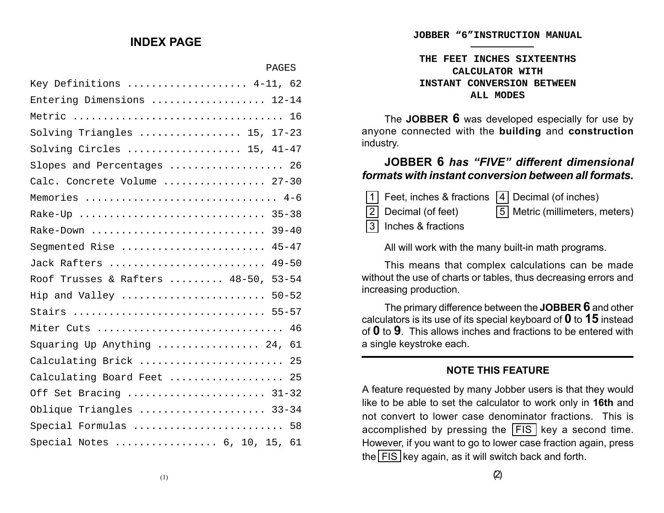#### **INDEX PAGE**

PAGES

| Key Definitions  4-11, 62            |
|--------------------------------------|
| Entering Dimensions  12-14           |
|                                      |
| Solving Triangles  15, 17-23         |
| Solving Circles  15, 41-47           |
| Slopes and Percentages  26           |
| Calc. Concrete Volume  27-30         |
| Memories  4-6                        |
| Rake-Up  35-38                       |
| Rake-Down  39-40                     |
| Segmented Rise  45-47                |
| Jack Rafters  49-50                  |
| Roof Trusses & Rafters  48-50, 53-54 |
| Hip and Valley  50-52                |
| Stairs  55-57                        |
| Miter Cuts  46                       |
| Squaring Up Anything  24, 61         |
| Calculating Brick  25                |
| Calculating Board Feet  25           |
| Off Set Bracing  31-32               |
| Oblique Triangles  33-34             |
| Special Formulas  58                 |
| Special Notes  6, 10, 15, 61         |

**JOBBER "6"INSTRUCTION MANUAL**

#### **THE FEET INCHES SIXTEENTHS CALCULATOR WITH INSTANT CONVERSION BETWEEN ALL MODES**

The **JOBBER 6** was developed especially for use by anyone connected with the **building** and **construction** industry.

# **JOBBER 6** *has "FIVE" different dimensional formats with instant conversion between all formats.*

| $\boxed{1}$ Feet, inches & fractions $\boxed{4}$ Decimal (of inches) |                                  |
|----------------------------------------------------------------------|----------------------------------|
| 2 Decimal (of feet)                                                  | [5] Metric (millimeters, meters) |
| 3 Inches & fractions                                                 |                                  |

All will work with the many built-in math programs.

This means that complex calculations can be made without the use of charts or tables, thus decreasing errors and increasing production.

The primary difference between the **JOBBER 6** and other calculators is its use of its special keyboard of **0** to **15** instead of **0** to **9**. This allows inches and fractions to be entered with a single keystroke each.

## **NOTE THIS FEATURE**

A feature requested by many Jobber users is that they would like to be able to set the calculator to work only in **16th** and not convert to lower case denominator fractions. This is accomplished by pressing the  $\overline{FIS}$  key a second time. However, if you want to go to lower case fraction again, press the  $\overline{\text{FIS}}$  key again, as it will switch back and forth.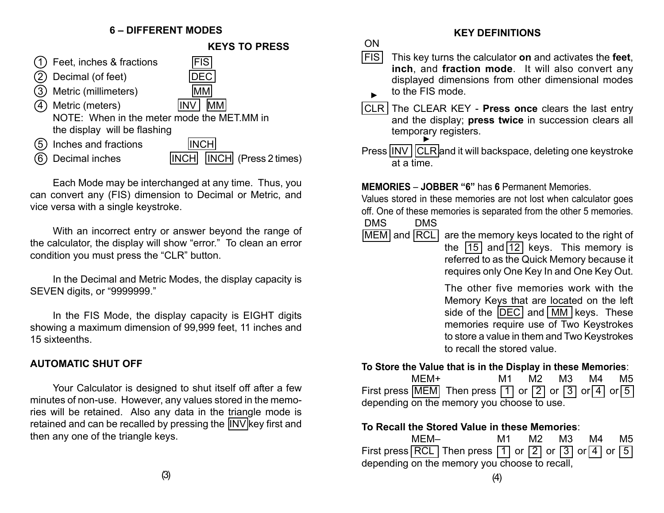## **6 – DIFFERENT MODES**



Each Mode may be interchanged at any time. Thus, you can convert any (FIS) dimension to Decimal or Metric, and vice versa with a single keystroke.

With an incorrect entry or answer beyond the range of the calculator, the display will show "error." To clean an error condition you must press the "CLR" button.

In the Decimal and Metric Modes, the display capacity is SEVEN digits, or "9999999."

In the FIS Mode, the display capacity is EIGHT digits showing a maximum dimension of 99,999 feet, 11 inches and 15 sixteenths.

## **AUTOMATIC SHUT OFF**

Your Calculator is designed to shut itself off after a few minutes of non-use. However, any values stored in the memories will be retained. Also any data in the triangle mode is retained and can be recalled by pressing the INV key first and then any one of the triangle keys.

#### **KEY DEFINITIONS**

- FIS This key turns the calculator **on** and activates the **feet**, **inch**, and **fraction mode**. It will also convert any displayed dimensions from other dimensional modes to the FIS mode. ▲
- CLR The CLEAR KEY **Press once** clears the last entry and the display; **press twice** in succession clears all temporary registers. ▲
- Press INV CLR and it will backspace, deleting one keystroke at a time.

#### **MEMORIES** – **JOBBER "6"** has **6** Permanent Memories.

Values stored in these memories are not lost when calculator goes off. One of these memories is separated from the other 5 memories.

- DMS DMS
- MEM and RCL are the memory keys located to the right of the  $\boxed{15}$  and  $\boxed{12}$  keys. This memory is referred to as the Quick Memory because it requires only One Key In and One Key Out.

The other five memories work with the Memory Keys that are located on the left side of the  $\overline{DEC}$  and  $\overline{MM}$  keys. These memories require use of Two Keystrokes

to store a value in them and Two Keystrokes to recall the stored value.

#### **To Store the Value that is in the Display in these Memories**:

|                                            | MFM+ |                                                                                                                     | M1 - |  |  |  | M2 M3 M4 M5 |
|--------------------------------------------|------|---------------------------------------------------------------------------------------------------------------------|------|--|--|--|-------------|
|                                            |      | First press $\boxed{\text{MEM}}$ Then press $\boxed{1}$ or $\boxed{2}$ or $\boxed{3}$ or $\boxed{4}$ or $\boxed{5}$ |      |  |  |  |             |
| depending on the memory you choose to use. |      |                                                                                                                     |      |  |  |  |             |

#### **To Recall the Stored Value in these Memories**:

|                                               | MFM- |                                                                                                    | M1 - |  |  | M2 M3 M4 |  | M5 |  |
|-----------------------------------------------|------|----------------------------------------------------------------------------------------------------|------|--|--|----------|--|----|--|
|                                               |      | First press RCL Then press $\boxed{1}$ or $\boxed{2}$ or $\boxed{3}$ or $\boxed{4}$ or $\boxed{5}$ |      |  |  |          |  |    |  |
| depending on the memory you choose to recall, |      |                                                                                                    |      |  |  |          |  |    |  |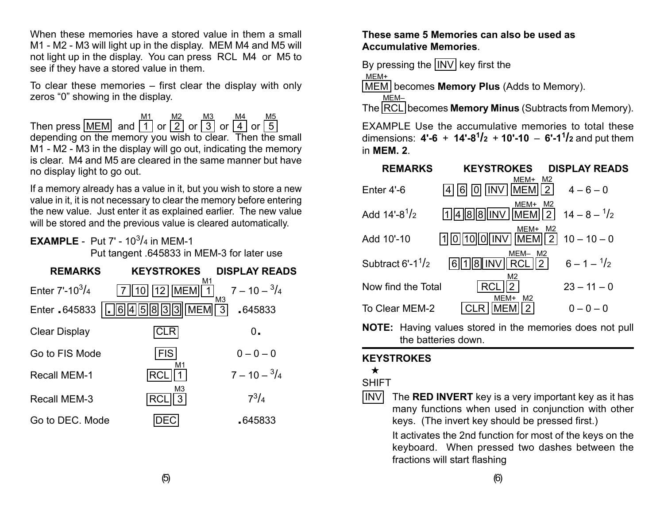When these memories have a stored value in them a small M1 - M2 - M3 will light up in the display. MEM M4 and M5 will not light up in the display. You can press RCL M4 or M5 to see if they have a stored value in them.

To clear these memories – first clear the display with only zeros "0" showing in the display.

Then press  $[MEM]$  and  $|1|$  or  $|2|$  or  $|3|$  or  $|4|$  or  $|5$ depending on the memory you wish to clear. Then the small M1 - M2 - M3 in the display will go out, indicating the memory is clear. M4 and M5 are cleared in the same manner but have no display light to go out. M1 M2 M3 M4 M5

If a memory already has a value in it, but you wish to store a new value in it, it is not necessary to clear the memory before entering the new value. Just enter it as explained earlier. The new value will be stored and the previous value is cleared automatically.

## **EXAMPLE** - Put 7' - 10<sup>3</sup>/4 in MEM-1

Put tangent .645833 in MEM-3 for later use

| <b>REMARKS</b>       | <b>KEYSTROKES</b>                | <b>DISPLAY READS</b>                     |
|----------------------|----------------------------------|------------------------------------------|
| Enter $7'-10^3/4$    | M1<br>$12$   MEM                 | $7 - 10 - \frac{3}{4}$<br>M <sub>3</sub> |
| Enter 645833         | 5833<br><b>MEM</b><br>$\ 6\ 4\ $ | $\overline{3}$<br>645833                 |
| <b>Clear Display</b> |                                  | 0.                                       |
| Go to FIS Mode       | <b>FIS</b>                       | $0 - 0 - 0$                              |
| <b>Recall MEM-1</b>  | M1                               | $7 - 10 - \frac{3}{4}$                   |
| <b>Recall MEM-3</b>  | M <sub>3</sub><br>RC             | $7^{3}/_{4}$                             |
| Go to DEC. Mode      |                                  | .645833                                  |

## **These same 5 Memories can also be used as Accumulative Memories**.

By pressing the  $\vert \vert \text{INV} \vert$  key first the

MEM+

MEM becomes **Memory Plus** (Adds to Memory).

The RCL becomes **Memory Minus** (Subtracts from Memory). MEM–

EXAMPLE Use the accumulative memories to total these dimensions: **4'-6** <sup>+</sup>**14'-8<sup>1</sup> /2** <sup>+</sup>**10'-10** – **6'-1<sup>1</sup> /2** and put them in **MEM. 2**.

| <b>REMARKS</b>                               | <b>KEYSTROKES</b>                                                | <b>DISPLAY READS</b>   |
|----------------------------------------------|------------------------------------------------------------------|------------------------|
| Enter $4'-6$                                 | MEM+<br>M2<br>2<br><b>MEM</b><br>0 IINV<br>6                     | $4 - 6 - 0$            |
| Add $14'-8^1/2$                              | MEM+<br>M2<br>2 <sup>1</sup><br> 1  4  8  8  INV    MEM          | $14 - 8 - \frac{1}{2}$ |
| Add 10'-10                                   | MEM+ M2<br>$\sqrt{2}$                                            | $10 - 10 - 0$          |
| Subtract $6'$ -1 <sup>1</sup> / <sub>2</sub> | MEM-<br>M2<br>$\overline{2}$<br>8 INV<br><b>RCL</b><br><u> 6</u> | $6 - 1 - \frac{1}{2}$  |
| Now find the Total                           | M2<br>$\overline{2}$<br>RC                                       | $23 - 11 - 0$          |
| To Clear MEM-2                               | MEM+<br>M2<br>2                                                  | $0 - 0 - 0$            |

**NOTE:** Having values stored in the memories does not pull the batteries down.

## **KEYSTROKES**

# ★

## SHIFT

 $\sqrt{INV}$  The **RED INVERT** key is a very important key as it has many functions when used in conjunction with other keys. (The invert key should be pressed first.)

> It activates the 2nd function for most of the keys on the keyboard. When pressed two dashes between the fractions will start flashing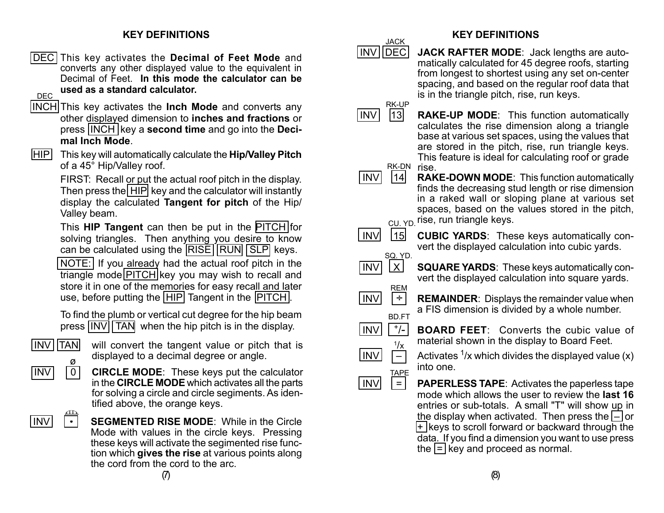## **KEY DEFINITIONS**

- DEC This key activates the **Decimal of Feet Mode** and converts any other displayed value to the equivalent in Decimal of Feet. **In this mode the calculator can be used as a standard calculator.** DEC
- INCH This key activates the **Inch Mode** and converts any other displayed dimension to **inches and fractions** or press INCH key a **second time** and go into the **Decimal Inch Mode**.
- [HIP] This key will automatically calculate the **Hip/Valley Pitch** of a 45° Hip/Valley roof.

FIRST: Recall or put the actual roof pitch in the display. Then press the HIP key and the calculator will instantly display the calculated **Tangent for pitch** of the Hip/ Valley beam.

This **HIP Tangent** can then be put in the PITCH for solving triangles. Then anything you desire to know can be calculated using the RISE RUN SLP keys.

NOTE: If you already had the actual roof pitch in the triangle mode PITCH key you may wish to recall and store it in one of the memories for easy recall and later use, before putting the HIP Tangent in the PITCH.

To find the plumb or vertical cut degree for the hip beam press  $\overline{INV}$   $\overline{TAN}$  when the hip pitch is in the display.



 $\overline{INV}$  TAN will convert the tangent value or pitch that is displayed to a decimal degree or angle.

- **INV 0 CIRCLE MODE**: These keys put the calculator in the **CIRCLE MODE** which activates all the parts for solving a circle and circle segiments. As identified above, the orange keys.
- $\sqrt{2}$  $\Box$

 INV • **SEGMENTED RISE MODE**: While in the Circle Mode with values in the circle keys. Pressing these keys will activate the segimented rise function which **gives the rise** at various points along the cord from the cord to the arc.

## **KEY DEFINITIONS**

 INV DEC **JACK RAFTER MODE**: Jack lengths are automatically calculated for 45 degree roofs, starting from longest to shortest using any set on-center spacing, and based on the regular roof data that is in the triangle pitch, rise, run keys. JACK



**INV** 13 **RAKE-UP MODE**: This function automatically calculates the rise dimension along a triangle base at various set spaces, using the values that are stored in the pitch, rise, run triangle keys. This feature is ideal for calculating roof or grade R<u>K-D</u>N rise.



**INV 14 RAKE-DOWN MODE:** This function automatically finds the decreasing stud length or rise dimension in a raked wall or sloping plane at various set spaces, based on the values stored in the pitch, <sub>CU. YD.</sub> rise, run triangle keys.

- **INV 15 CUBIC YARDS:** These keys automatically convert the displayed calculation into cubic yards. SQ. YD.
- [INV] [X] **SQUARE YARDS**: These keys automatically convert the displayed calculation into square yards.
- INV ÷REM BD.FT

 $1/\chi$ 

- **REMAINDER**: Displays the remainder value when a FIS dimension is divided by a whole number.
- $\ln|V|$   $\frac{+}{-}$  **BOARD FEET**: Converts the cubic value of material shown in the display to Board Feet.
- $\vert \text{INV} \vert \vert \vert$   $\vert$  Activates <sup>1</sup>/x which divides the displayed value (x) into one.
- $INV$   $=$ **PAPERLESS TAPE**: Activates the paperless tape mode which allows the user to review the **last 16** entries or sub-totals. A small "T" will show up in the display when activated. Then press the  $\vert - \vert$  or  $+$  keys to scroll forward or backward through the data. If you find a dimension you want to use press the  $=$  key and proceed as normal. TAPE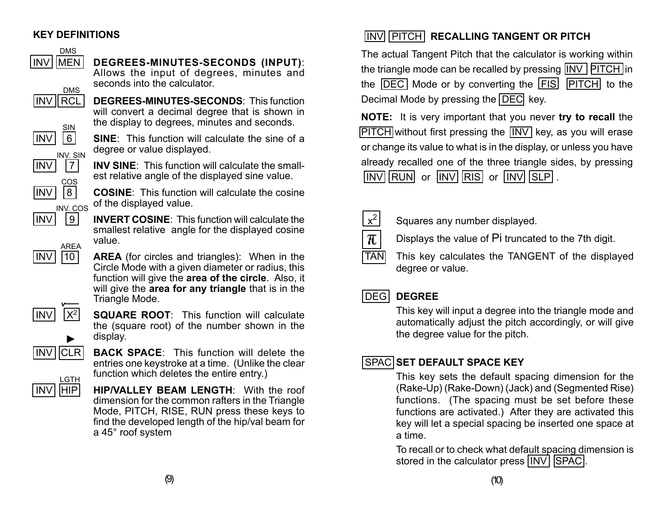## **KEY DEFINITIONS**

DMS



# INV MEN **DEGREES-MINUTES-SECONDS (INPUT)**:

Allows the input of degrees, minutes and seconds into the calculator.

 INV RCL **DEGREES-MINUTES-SECONDS**: This function will convert a decimal degree that is shown in the display to degrees, minutes and seconds.



 INV 6 **SINE**: This function will calculate the sine of a degree or value displayed.



|INV| |7| **INV SINE**: This function will calculate the smallest relative angle of the displayed sine value.

 $\boxed{INV}$   $\boxed{8}$  **COSINE**: This function will calculate the cosine of the displayed value. INV. COS

 INV 9 **INVERT COSINE**: This function will calculate the smallest relative angle for the displayed cosine value.

 $\vert \text{INV} \vert$   $\vert \text{10} \vert$  **AREA** (for circles and triangles): When in the Circle Mode with a given diameter or radius, this function will give the **area of the circle**. Also, it will give the **area for any triangle** that is in the Triangle Mode.



 $\vert \text{INV} \vert$   $\vert \text{X}^2 \vert$  **SQUARE ROOT**: This function will calculate the (square root) of the number shown in the display.

entries one keystroke at a time. (Unlike the clear

function which deletes the entire entry.)

**INV CLR BACK SPACE:** This function will delete the

▲

AREA



INV | HIP | HIP/VALLEY BEAM LENGTH: With the roof dimension for the common rafters in the Triangle Mode, PITCH, RISE, RUN press these keys to find the developed length of the hip/val beam for a 45° roof system

# INV PITCH **RECALLING TANGENT OR PITCH**

The actual Tangent Pitch that the calculator is working within the triangle mode can be recalled by pressing **INV PITCH** in the  $\overline{DEC}$  Mode or by converting the  $\overline{FIS}$   $\overline{PITCH}$  to the Decimal Mode by pressing the DEC key.

**NOTE:** It is very important that you never **try to recall** the  $\overline{PITCH}$  without first pressing the  $\overline{INV}$  key, as you will erase or change its value to what is in the display, or unless you have already recalled one of the three triangle sides, by pressing  $\sqrt{\text{INV}}$   $\text{RUN}$  or  $\sqrt{\text{INV}}$   $\text{RIS}$  or  $\sqrt{\text{INV}}$   $\text{SLP}$ .



 $\mathbf{x}^2$  Squares any number displayed.

Displays the value of Pi truncated to the 7th digit.

 $TAN$  This key calculates the TANGENT of the displayed degree or value.

# DEG **DEGREE**

This key will input a degree into the triangle mode and automatically adjust the pitch accordingly, or will give the degree value for the pitch.

# SPAC **SET DEFAULT SPACE KEY**

This key sets the default spacing dimension for the (Rake-Up) (Rake-Down) (Jack) and (Segmented Rise) functions. (The spacing must be set before these functions are activated.) After they are activated this key will let a special spacing be inserted one space at a time.

To recall or to check what default spacing dimension is stored in the calculator press | INV | SPAC |.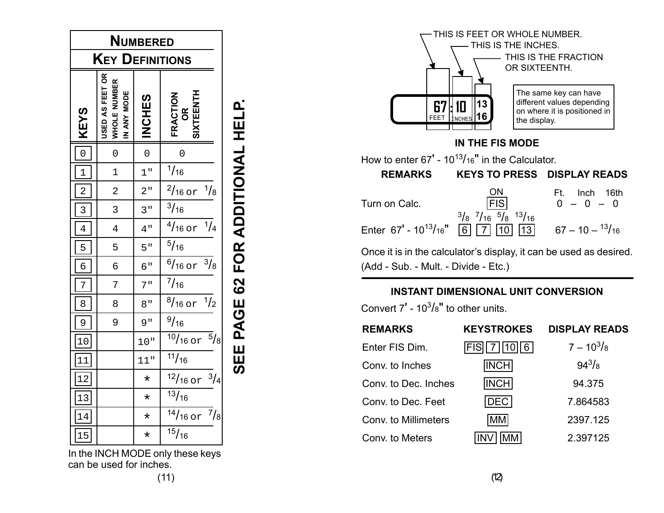| <b>NUMBERED</b> |                                                |                 |                                       |                                 |  |
|-----------------|------------------------------------------------|-----------------|---------------------------------------|---------------------------------|--|
|                 | KEY                                            |                 | DEFINITIONS                           |                                 |  |
| <b>KEYS</b>     | USED AS FEET OR<br>WHOLE NUMBER<br>IN ANY MODE | <b>INCHES</b>   | SIXTEENTH<br>FRACTION<br>OR           | SEE PAGE 62 FOR ADDITIONAL HELP |  |
| $\overline{0}$  | $\overline{0}$                                 | $\overline{0}$  | 0                                     |                                 |  |
| $\mathbf{1}$    | $\mathbf 1$                                    | $1$ "           | 1/16                                  |                                 |  |
| $\overline{a}$  | $\overline{2}$                                 | 2"              | $\frac{2}{16}$ or<br>$\frac{1}{8}$    |                                 |  |
| 3               | 3                                              | 3 <sub>  </sub> | $\frac{3}{16}$                        |                                 |  |
| $\overline{4}$  | $\overline{4}$                                 | 4"              | $\frac{1}{4}$<br>$\frac{4}{16}$ or    |                                 |  |
| 5               | 5                                              | 5"              | 5/16                                  |                                 |  |
| 6               | б                                              | б"              | $\frac{3}{8}$<br>$\frac{6}{16}$ or    |                                 |  |
| $\overline{7}$  | 7                                              | 7"              | $^{7}/_{16}$                          |                                 |  |
| 8               | 8                                              | 8"              | $\frac{1}{2}$<br>$\frac{8}{16}$ or    |                                 |  |
| 9               | 9                                              | 9"              | 9/16                                  |                                 |  |
| 10              |                                                | 10"             | $\frac{1}{5}/8$<br>$\frac{10}{16}$ or |                                 |  |
| 11              |                                                | 11"             | $\frac{11}{16}$                       |                                 |  |
| 12              |                                                | $\star$         | $12/16$ or<br>$\frac{3}{4}$           |                                 |  |
| 13              |                                                | $\star$         | $\frac{13}{16}$                       |                                 |  |
| 14              |                                                | $\star$         | $14/16$ or<br>$\frac{7}{8}$           |                                 |  |
| 15              |                                                | $\star$         | $\frac{15}{16}$                       |                                 |  |





Once it is in the calculator's display, it can be used as desired. (Add - Sub. - Mult. - Divide - Etc.)

## **INSTANT DIMENSIONAL UNIT CONVERSION**

Convert 7' - 10 $^{3}/\mathrm{s}$ " to other units.

| <b>REMARKS</b>       | <b>KEYSTROKES</b> | <b>DISPLAY READS</b> |
|----------------------|-------------------|----------------------|
| Enter FIS Dim.       | FIS   7   10   6  | $7 - 10^{3}/_8$      |
| Conv. to Inches      | <b>INCH</b>       | $94^{3}/_{8}$        |
| Conv. to Dec. Inches | INCH              | 94.375               |
| Conv. to Dec. Feet   | DECI              | 7.864583             |
| Conv. to Millimeters | MМ                | 2397.125             |
| Conv. to Meters      |                   | 2.397125             |

(11)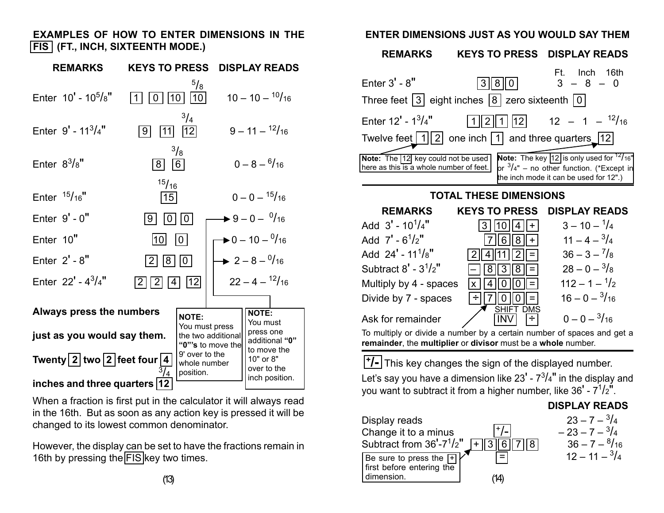## **EXAMPLES OF HOW TO ENTER DIMENSIONS IN THE FIS (FT., INCH, SIXTEENTH MODE.)**

| <b>REMARKS</b>                                           | <b>KEYS TO PRESS</b>                        | <b>DISPLAY READS</b>                                                           |
|----------------------------------------------------------|---------------------------------------------|--------------------------------------------------------------------------------|
| Enter $10'$ - $10^5/s''$                                 | $\frac{5}{8}$<br>10 <sup>1</sup><br>10      | $10 - 10 - \frac{10}{16}$                                                      |
| Enter $9' - 11^{3}/4"$                                   | $^{3}/_{4}$<br> 12 <br> 9 <br> 11           | $9 - 11 - {12}/{16}$                                                           |
| Enter $8^3/s$ "                                          | $\frac{3}{8}$<br> 6 <br> 8                  | $0 - 8 - \frac{6}{16}$                                                         |
| Enter $15/16$ "                                          | 15/16<br> 15                                | $0 - 0 - \frac{15}{16}$                                                        |
| Enter $9' - 0''$                                         | 0 <br>9<br> 0                               | $\blacktriangleright$ 9 – 0 – $\frac{0}{16}$                                   |
| Enter 10"                                                | 10 I<br> 10                                 | $\blacktriangleright$ 0 – 10 – $\frac{0}{16}$                                  |
| Enter $2' - 8''$                                         | 8   0 <br>2                                 | $\rightarrow 2-8-^{0}/_{16}$                                                   |
| Enter 22' - $4^{3}/4$ "                                  | 12 <br>2 <br>$\overline{2}$                 | $22 - 4 - \frac{12}{16}$                                                       |
|                                                          |                                             |                                                                                |
| Always press the numbers                                 | <b>NOTE:</b>                                | <b>NOTE:</b><br>You must                                                       |
| just as you would say them.                              | You must press<br>the two additional        | press one<br>additional "0"                                                    |
| Twenty $\boxed{2}$ two $\boxed{2}$ feet four $\boxed{4}$ | 9' over to the<br>whole number<br>position. | "0"'s to move the<br>to move the<br>10" or 8"<br>over to the<br>inch position. |
| inches and three quarters  12                            |                                             |                                                                                |

When a fraction is first put in the calculator it will always read in the 16th. But as soon as any action key is pressed it will be changed to its lowest common denominator.

However, the display can be set to have the fractions remain in 16th by pressing the FIS key two times.

## **ENTER DIMENSIONS JUST AS YOU WOULD SAY THEM**



**+/-** This key changes the sign of the displayed number.

Let's say you have a dimension like 23' - 7 $^3\!/4"$  in the display and you want to subtract it from a higher number, like  $36' - 7<sup>1</sup>/2''$ .

#### **DISPLAY READS**

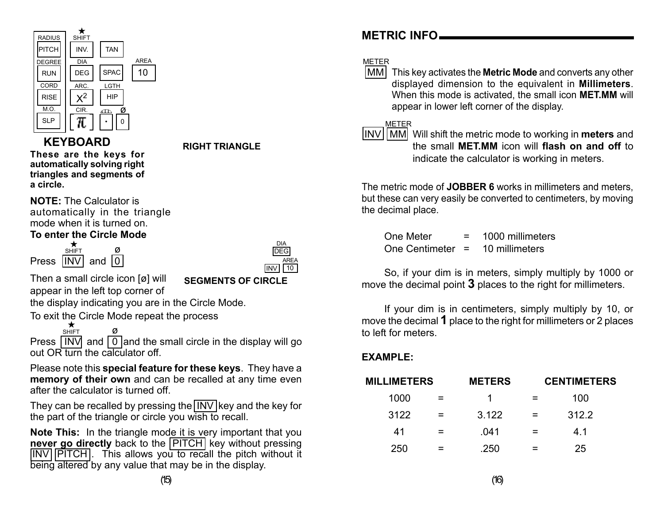

# **KEYBOARD**

**These are the keys for automatically solving right triangles and segments of a circle.**

**NOTE:** The Calculator is automatically in the triangle mode when it is turned on.

## **To enter the Circle Mode**

Press  $\overline{INV}$  and  $\overline{0}$ ø ★ **SHIFT** 



Then a small circle icon [ø] will appear in the left top corner of

**SEGMENTS OF CIRCLE**

**RIGHT TRIANGLE**

the display indicating you are in the Circle Mode.

To exit the Circle Mode repeat the process

<sup>ø</sup> ★SHIFT Press  $\sqrt{INV}$  and  $\boxed{0}$  and the small circle in the display will go out OR turn the calculator off.

Please note this **special feature for these keys**. They have a **memory of their own** and can be recalled at any time even after the calculator is turned off.

They can be recalled by pressing the  $\overline{\text{INV}}$  key and the key for the part of the triangle or circle you wish to recall.

**Note This:** In the triangle mode it is very important that you **never go directly** back to the **PITCH** key without pressing **INV PITCH.** This allows you to recall the pitch without it being altered by any value that may be in the display.

# **METRIC INFO**

## METER

**MM** This key activates the **Metric Mode** and converts any other displayed dimension to the equivalent in **Millimeters**. When this mode is activated, the small icon **MET.MM** will appear in lower left corner of the display.

#### METER

**INV IMM** Will shift the metric mode to working in **meters** and the small **MET.MM** icon will **flash on and off** to indicate the calculator is working in meters.

The metric mode of **JOBBER 6** works in millimeters and meters, but these can very easily be converted to centimeters, by moving the decimal place.

One Meter  $= 1000$  millimeters One Centimeter <sup>=</sup> 10 millimeters

So, if your dim is in meters, simply multiply by 1000 or move the decimal point **3** places to the right for millimeters.

If your dim is in centimeters, simply multiply by 10, or move the decimal **1** place to the right for millimeters or 2 places to left for meters.

# **EXAMPLE:**

| <b>MILLIMETERS</b> | <b>METERS</b> | <b>CENTIMETERS</b> |
|--------------------|---------------|--------------------|
| 1000               |               | 100                |
| 3122               | 3.122         | 312.2              |
| 41                 | .041          | 4.1                |
| 250                | .250          | 25                 |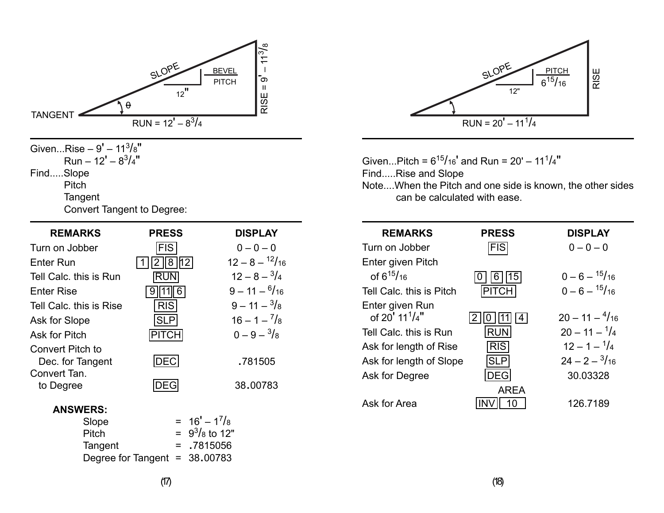

| Turn on Jobber                       | <b>FIS</b>   | $0 - 0 - 0$              |
|--------------------------------------|--------------|--------------------------|
| <b>Enter Run</b>                     | lh2 l<br>8   | $12 - 8 - \frac{12}{16}$ |
| Tell Calc, this is Run               | RUN          | $12 - 8 - \frac{3}{4}$   |
| <b>Enter Rise</b>                    |              | $9 - 11 - \frac{6}{16}$  |
| Tell Calc, this is Rise              | <b>RIS</b>   | $9 - 11 - \frac{3}{8}$   |
| Ask for Slope                        | <b>SLP</b>   | $16 - 1 - \frac{7}{8}$   |
| <b>Ask for Pitch</b>                 | <b>PITCH</b> | $0 - 9 - \frac{3}{8}$    |
| Convert Pitch to<br>Dec. for Tangent | DEC          | .781505                  |
| Convert Tan.<br>to Degree            |              | 38.00783                 |

#### **ANSWERS:**

| $= 16' - 1^{7}/8$               |
|---------------------------------|
| $= 9^3/s$ to 12"                |
| $= 7815056$                     |
| Degree for Tangent = $38.00783$ |
|                                 |



Given...Pitch =  $6^{15}/_{16}$ ' and Run =  $20' - 11^{1}/_{4}$ "

Find.....Rise and Slope

Note....When the Pitch and one side is known, the other sides can be calculated with ease.

| <b>REMARKS</b>                                  | <b>PRESS</b> | <b>DISPLAY</b>           |
|-------------------------------------------------|--------------|--------------------------|
| Turn on Jobber                                  | <b>FIS</b>   | $0 - 0 - 0$              |
| Enter given Pitch                               |              |                          |
| of $6^{15}/_{16}$                               | 15           | $0 - 6 - \frac{15}{16}$  |
| Tell Calc, this is Pitch                        | <b>PITCH</b> | $0 - 6 - \frac{15}{16}$  |
| Enter given Run<br>of $20'$ 11 <sup>1</sup> /4" |              | $20 - 11 - \frac{4}{16}$ |
| Tell Calc, this is Run                          | <b>RUN</b>   | $20 - 11 - \frac{1}{4}$  |
| Ask for length of Rise                          | <b>RIS</b>   | $12 - 1 - \frac{1}{4}$   |
| Ask for length of Slope                         | <b>SLP</b>   | $24 - 2 - \frac{3}{16}$  |
| Ask for Degree                                  |              | 30.03328                 |
|                                                 | AREA         |                          |
| Ask for Area                                    |              | 126.7189                 |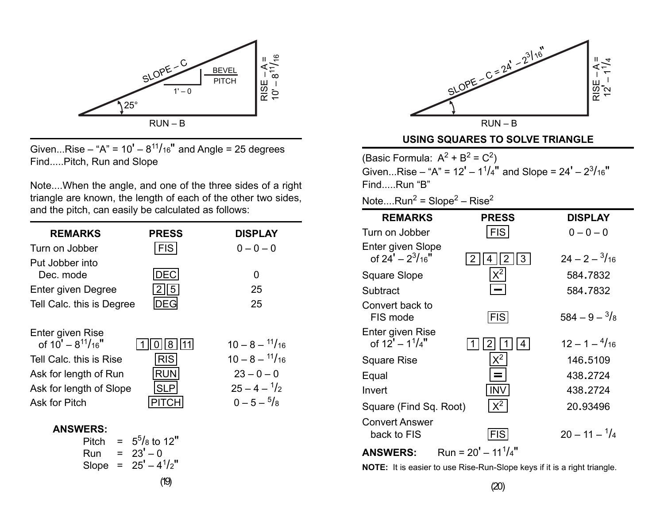

Given...Rise – "A" =  $10' - 8^{11}/16$ " and Angle = 25 degrees Find.....Pitch, Run and Slope

Note....When the angle, and one of the three sides of a right triangle are known, the length of each of the other two sides, and the pitch, can easily be calculated as follows:

| <b>REMARKS</b>                                                                                                                                    | <b>PRESS</b>                                                | <b>DISPLAY</b>                                                                                                          |
|---------------------------------------------------------------------------------------------------------------------------------------------------|-------------------------------------------------------------|-------------------------------------------------------------------------------------------------------------------------|
| Turn on Jobber                                                                                                                                    | <b>FIS</b>                                                  | $0 - 0 - 0$                                                                                                             |
| Put Jobber into<br>Dec. mode<br>Enter given Degree<br>Tell Calc. this is Degree                                                                   | DEC<br>5                                                    | O<br>25<br>25                                                                                                           |
| Enter given Rise<br>of $10' - 8^{11}/16''$<br>Tell Calc, this is Rise<br>Ask for length of Run<br>Ask for length of Slope<br><b>Ask for Pitch</b> | 8<br><b>RIS</b><br><b>RUN</b><br><b>SLP</b><br><b>PITCH</b> | $10 - 8 - \frac{11}{16}$<br>$10 - 8 - \frac{11}{16}$<br>$23 - 0 - 0$<br>$25 - 4 - \frac{1}{2}$<br>$0 - 5 - \frac{5}{8}$ |
| <b>ANSWERS:</b><br>Pitch<br>Run                                                                                                                   | $= 5^{5}/_{8}$ to 12"<br>$= 23' - 0$                        |                                                                                                                         |

SLOPE - C = 
$$
2a^2
$$
 -  $2^{3/16}$   
=  $2a^2$  -  $2^{3/16}$   
=  $4\pi$   
=  $4\pi$   
=  $4\pi$   
=  $4\pi$   
=  $4\pi$   
=  $4\pi$   
=  $4\pi$   
= 2

#### **USING SQUARES TO SOLVE TRIANGLE**

(Basic Formula:  $A^2 + B^2 = C^2$ ) Given...Rise – "A" =  $12' - 1<sup>1</sup>/4"$  and Slope =  $24' - 2<sup>3</sup>/16"$ Find.....Run "B"

Note.... $Run^2 = Slope^2 - Rise^2$ 

| <b>REMARKS</b>                                | <b>PRESS</b>            | <b>DISPLAY</b>          |
|-----------------------------------------------|-------------------------|-------------------------|
| Turn on Jobber                                | <b>FIS</b>              | $0 - 0 - 0$             |
| Enter given Slope<br>of 24' – $2^{3}/_{16}$ " | 3<br>2                  | $24 - 2 - \frac{3}{16}$ |
| Square Slope                                  | $X^2$                   | 584.7832                |
| Subtract                                      |                         | 584.7832                |
| Convert back to<br>FIS mode                   | <b>FIS</b>              | $584 - 9 - \frac{3}{8}$ |
| Enter given Rise<br>of $12' - 1^{1}/4$ "      | 4                       | $12 - 1 - \frac{4}{16}$ |
| Square Rise                                   | $x^2$                   | 146.5109                |
| Equal                                         |                         | 438.2724                |
| Invert                                        | INV                     | 438.2724                |
| Square (Find Sq. Root)                        | $X^2$                   | 20.93496                |
| <b>Convert Answer</b><br>back to FIS          | FIS                     | $20 - 11 - \frac{1}{4}$ |
| <b>ANSWERS:</b>                               | Run = $20' - 11^{1}/4"$ |                         |

Slope =  $25' - 4^{1}/2"$ 

**NOTE:** It is easier to use Rise-Run-Slope keys if it is a right triangle.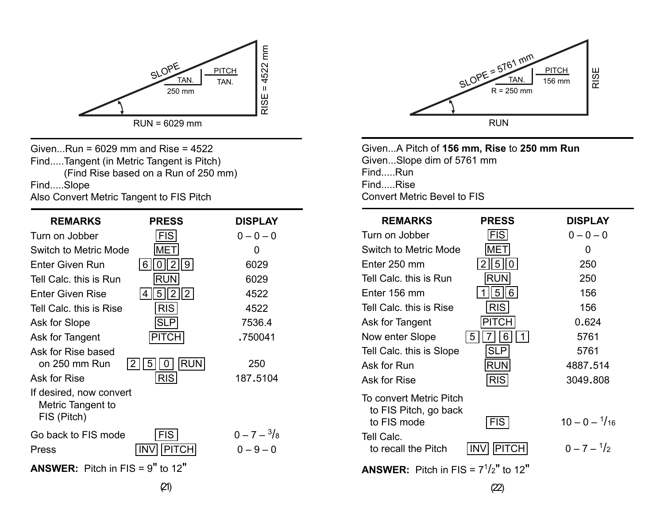

Given...Run = 6029 mm and Rise = 4522 Find.....Tangent (in Metric Tangent is Pitch) (Find Rise based on a Run of 250 mm) Find.....Slope

Also Convert Metric Tangent to FIS Pitch

| <b>REMARKS</b>                                              | <b>PRESS</b>                        | <b>DISPLAY</b>                       |
|-------------------------------------------------------------|-------------------------------------|--------------------------------------|
| Turn on Jobber                                              | <b>FIS</b>                          | $0 - 0 - 0$                          |
| Switch to Metric Mode                                       | IMETI                               | O                                    |
| <b>Enter Given Run</b>                                      | $\overline{2}$<br><u>  9  </u><br>6 | 6029                                 |
| Tell Calc, this is Run                                      | <b>RUN</b>                          | 6029                                 |
| <b>Enter Given Rise</b>                                     | $\overline{2}$<br>2 <br>5           | 4522                                 |
| Tell Calc, this is Rise                                     | <b>RIS</b>                          | 4522                                 |
| Ask for Slope                                               | <b>SLP</b>                          | 7536.4                               |
| Ask for Tangent                                             | <b>PITCH</b>                        | .750041                              |
| Ask for Rise based<br>on 250 mm Run                         | <b>RUN</b><br>2<br>5<br>0           | 250                                  |
| Ask for Rise                                                | <b>RIS</b>                          | 187.5104                             |
| If desired, now convert<br>Metric Tangent to<br>FIS (Pitch) |                                     |                                      |
| Go back to FIS mode<br>Press                                | <b>FIS</b><br><b>PITCH</b><br>IN١   | $0 - 7 - \frac{3}{8}$<br>$0 - 9 - 0$ |
| <b>ANSWER:</b> Pitch in FIS = $9''$ to 12"                  |                                     |                                      |



Given...A Pitch of **156 mm, Rise** to **250 mm Run** Given...Slope dim of 5761 mm Find.....Run Find.....Rise Convert Metric Bevel to FIS

| <b>REMARKS</b>                                   | <b>PRESS</b>         | <b>DISPLAY</b>          |
|--------------------------------------------------|----------------------|-------------------------|
| Turn on Jobber                                   | <b>FIS</b>           | $0 - 0 - 0$             |
| <b>Switch to Metric Mode</b>                     | <b>MET</b>           | 0                       |
| Enter 250 mm                                     | 5<br>2<br>0          | 250                     |
| Tell Calc. this is Run                           | RUN                  | 250                     |
| Enter 156 mm                                     | 5 I<br>$6 \mid$      | 156                     |
| Tell Calc. this is Rise                          | <b>RIS</b>           | 156                     |
| Ask for Tangent                                  | <b>PITCH</b>         | 0.624                   |
| Now enter Slope                                  | 6<br>5 <sup>1</sup>  | 5761                    |
| Tell Calc. this is Slope                         | SLP                  | 5761                    |
| Ask for Run                                      | <b>RUN</b>           | 4887.514                |
| Ask for Rise                                     | <b>RIS</b>           | 3049.808                |
| To convert Metric Pitch<br>to FIS Pitch, go back |                      |                         |
| to FIS mode                                      | <b>FIS</b>           | $10 - 0 - \frac{1}{16}$ |
| Tell Calc.<br>to recall the Pitch                | PITCH <br><b>INV</b> | $0 - 7 - \frac{1}{2}$   |
| <b>ANSWER:</b> Pitch in FIS = $7^{1}/2$ " to 12" |                      |                         |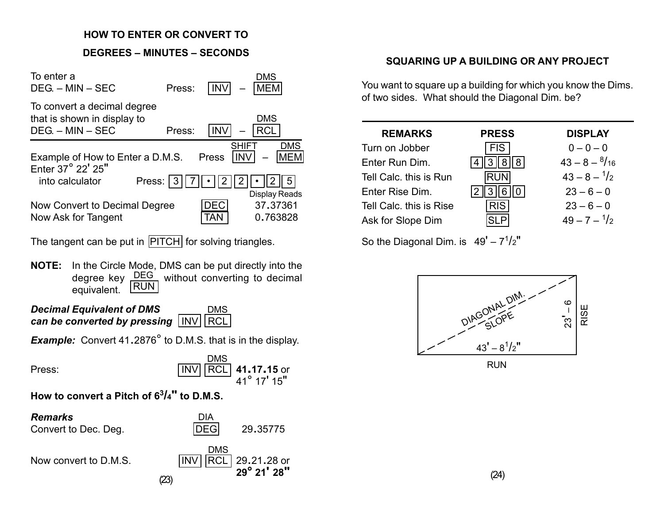#### **HOW TO ENTER OR CONVERT TO**

## **DEGREES – MINUTES – SECONDS**

| To enter a<br>$DEG - MIN - SEC$                                                  | Press: |           | DMS<br><b>MEM</b>                       |
|----------------------------------------------------------------------------------|--------|-----------|-----------------------------------------|
| To convert a decimal degree<br>that is shown in display to<br>$DEG. - MIN - SEC$ | Press: | INV       | <b>DMS</b><br>RCL                       |
| Example of How to Enter a D.M.S.<br>Enter 37° 22' 25"                            |        | Press     | <b>DMS</b><br><b>SHIF</b><br><b>MEM</b> |
| Press:<br>into calculator                                                        | 3      | 2         | <b>Display Reads</b>                    |
| Now Convert to Decimal Degree<br>Now Ask for Tangent                             |        | F()<br>ΑI | 37,37361<br>0.763828                    |

The tangent can be put in PITCH for solving triangles.

**NOTE:** In the Circle Mode, DMS can be put directly into the degree key DEG, without converting to decimal equivalent. RUN

*Decimal Equivalent of DMS can be converted by pressing* INV RCL DMS

*Example:* Convert 41.2876° to D.M.S. that is in the display.



**How to convert a Pitch of 63/4" to D.M.S.**

| <b>Remarks</b><br>Convert to Dec. Deg. | DIA<br><b>DEGI</b><br>29.35775                            |
|----------------------------------------|-----------------------------------------------------------|
| Now convert to D.M.S.                  | DMS<br>RCL 29.21.28 or<br><b>INV</b><br>29° 21' 28"<br>23 |

## **SQUARING UP A BUILDING OR ANY PROJECT**

You want to square up a building for which you know the Dims. of two sides. What should the Diagonal Dim. be?

| <b>REMARKS</b>          | <b>PRESS</b> | <b>DISPLAY</b>          |
|-------------------------|--------------|-------------------------|
| Turn on Jobber          | <b>FIS</b>   | $0 - 0 - 0$             |
| Enter Run Dim.          |              | $43 - 8 - \frac{8}{16}$ |
| Tell Calc. this is Run  | <b>RUN</b>   | $43 - 8 - \frac{1}{2}$  |
| Enter Rise Dim.         |              | $23 - 6 - 0$            |
| Tell Calc. this is Rise | <b>RIS</b>   | $23 - 6 - 0$            |
| Ask for Slope Dim       |              | $49 - 7 - \frac{1}{2}$  |

So the Diagonal Dim. is  $49' - 7<sup>1</sup>/2''$ 



(24)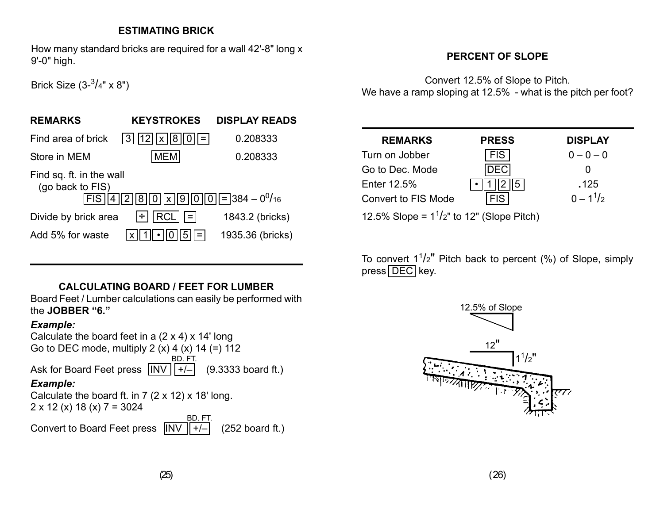#### **ESTIMATING BRICK**

How many standard bricks are required for a wall 42'-8" long x 9'-0" high.

## **PERCENT OF SLOPE**

Brick Size  $(3 - \frac{3}{4}$ " x 8")

# **REMARKS KEYSTROKES DISPLAY READS** Find area of brick  $\begin{array}{|c|c|c|c|c|}\n\hline\n3 & 12 & x & 0.208333\n\end{array}$ Store in MEM MEM 6.208333 Find sq. ft. in the wall (go back to FIS)  $FIS | 4 | 2 | 8 | 0 | 1 | 9 | 0 | 0 | 5 | 384 - 0^{0}$ Divide by brick area  $\div$   $\boxed{\text{RCL}}$   $\boxed{=}$  1843.2 (bricks) Add 5% for waste  $x \mid 1 \mid \cdot \mid 0 \mid 5 \mid =$  1935.36 (bricks)

## **CALCULATING BOARD / FEET FOR LUMBER**

Board Feet / Lumber calculations can easily be performed with the **JOBBER "6."**

#### *Example:*

Calculate the board feet in a  $(2 \times 4) \times 14'$  long Go to DEC mode, multiply 2  $(x)$  4  $(x)$  14  $(=)$  112 Ask for Board Feet press  $\frac{1}{N}$   $\frac{1}{r}$  (9.3333 board ft.) *Example:* Calculate the board ft. in  $7$  ( $2 \times 12$ )  $\times 18'$  long.  $2 \times 12$  (x) 18 (x)  $7 = 3024$ BD. FT. BD. FT.

Convert to Board Feet press  $\|NV\|$ +/- $\|$  (252 board ft.)

Convert 12.5% of Slope to Pitch. We have a ramp sloping at 12.5% - what is the pitch per foot?

| <b>REMARKS</b>      | <b>PRESS</b> | <b>DISPLAY</b> |
|---------------------|--------------|----------------|
| Turn on Jobber      | FIS.         | $0 - 0 - 0$    |
| Go to Dec. Mode     |              |                |
| Enter 12.5%         | 5            | .125           |
| Convert to FIS Mode |              | $0 - 1^{1/2}$  |

12.5% Slope =  $1^{1}/2$ " to 12" (Slope Pitch)

To convert  $1^{1}/2$ " Pitch back to percent (%) of Slope, simply  $pres[DEC]$  key.

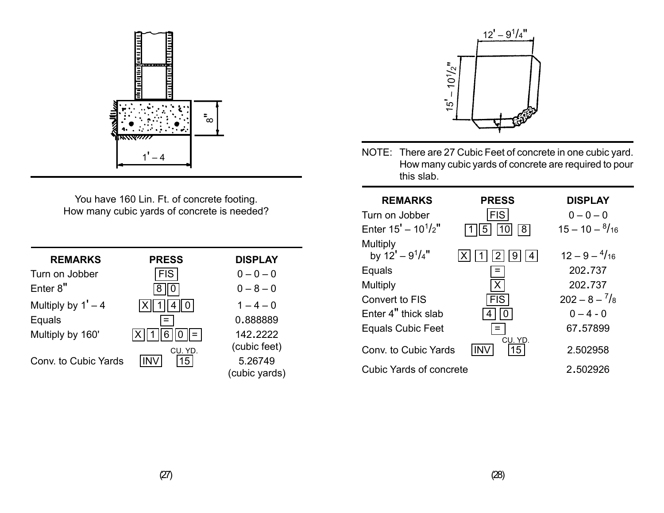

You have 160 Lin. Ft. of concrete footing. How many cubic yards of concrete is needed?

| <b>REMARKS</b>       | <b>PRESS</b>   | <b>DISPLAY</b>           |
|----------------------|----------------|--------------------------|
| Turn on Jobber       | <b>FIS</b>     | $0 - 0 - 0$              |
| Enter 8"             |                | $0 - 8 - 0$              |
| Multiply by $1' - 4$ |                | $1 - 4 - 0$              |
| Equals               |                | 0.888889                 |
| Multiply by 160'     |                | 142.2222<br>(cubic feet) |
| Conv. to Cubic Yards | CU. YD.<br>15. | 5.26749<br>(cubic yards) |



NOTE: There are 27 Cubic Feet of concrete in one cubic yard. How many cubic yards of concrete are required to pour this slab.

| <b>PRESS</b>              | <b>DISPLAY</b>           |
|---------------------------|--------------------------|
| <b>FIS</b>                | $0 - 0 - 0$              |
| 10<br>8 <sup>1</sup><br>5 | $15 - 10 - \frac{8}{16}$ |
| 9 ا<br>2                  | $12 - 9 - \frac{4}{16}$  |
|                           | 202.737                  |
| Χ                         | 202.737                  |
| <b>FIS</b>                | $202 - 8 - \frac{7}{8}$  |
|                           | $0 - 4 - 0$              |
|                           | 67,57899                 |
| 15                        | 2.502958                 |
| Cubic Yards of concrete   | 2.502926                 |
|                           | CU. YD.                  |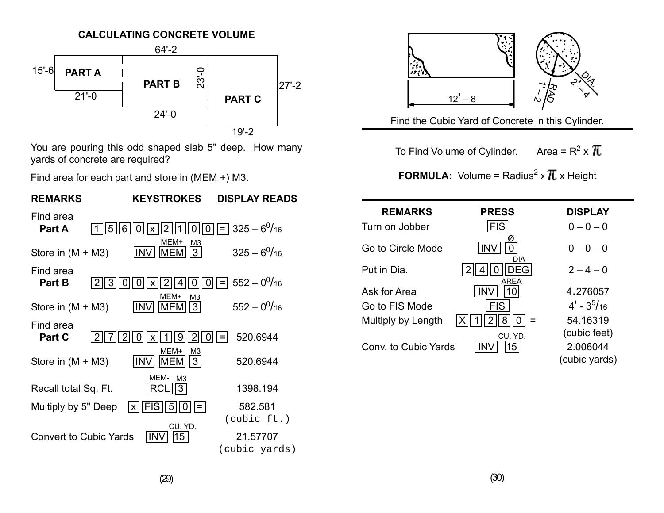

You are pouring this odd shaped slab 5" deep. How many yards of concrete are required?

Find area for each part and store in (MEM +) M3.





Find the Cubic Yard of Concrete in this Cylinder.

To Find Volume of Cylinder. Area =  $R^2 \times \pi$ 

**FORMULA:** Volume = Radius<sup>2</sup> x  $\overline{I}$  x Height

| <b>REMARKS</b>       | <b>PRESS</b>    | <b>DISPLAY</b>  |
|----------------------|-----------------|-----------------|
| Turn on Jobber       | <b>FIS</b>      | $0 - 0 - 0$     |
| Go to Circle Mode    | <b>DIA</b>      | $0 - 0 - 0$     |
| Put in Dia.          | <b>AREA</b>     | $2 - 4 - 0$     |
| Ask for Area         |                 | 4.276057        |
| Go to FIS Mode       | <b>FIS</b>      | $4'$ - $3^5/16$ |
| Multiply by Length   |                 | 54.16319        |
|                      | CU. YD.         | (cubic feet)    |
| Conv. to Cubic Yards | 15 <sub>1</sub> | 2.006044        |
|                      |                 | (cubic yards)   |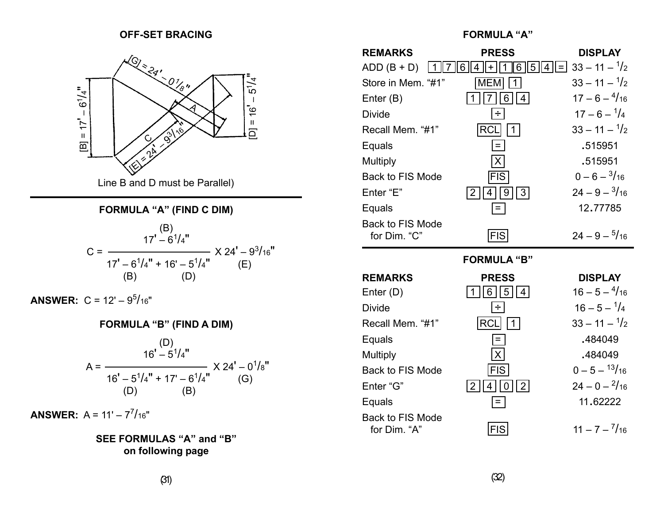#### **OFF-SET BRACING FORMULA "A"**



#### **FORMULA "A" (FIND C DIM)**

$$
C = \frac{17' - 6^{1}/4''}{17' - 6^{1}/4'' + 16' - 5^{1}/4''}
$$
 X 24' - 9<sup>3</sup>/16''  
(B) (D)

**ANSWER:** C = 12' – 9<sup>5</sup> /16"

#### **FORMULA "B" (FIND A DIM)**

$$
A = \frac{16^{1} - 5^{1}/4^{1}}{16^{1} - 5^{1}/4^{1} + 17^{1} - 6^{1}/4^{1}} \times 24^{1} - 0^{1}/8^{1}
$$
  
(D) (B)

**ANSWER:**  $A = 11' - 7^7/16''$ 

**SEE FORMULAS "A" and "B" on following page**

| <b>REMARKS</b>                   | <b>PRESS</b>                        | <b>DISPLAY</b>                      |
|----------------------------------|-------------------------------------|-------------------------------------|
| $ADD (B + D)$                    | $6^{\circ}$<br>$\vert$  5<br>6<br>÷ | $33 - 11 - \frac{1}{2}$<br>$ 4  = $ |
| Store in Mem. "#1"               | <b>MEM</b>                          | $33 - 11 - \frac{1}{2}$             |
| Enter $(B)$                      |                                     | $17 - 6 - \frac{4}{16}$             |
| <b>Divide</b>                    | ÷                                   | $17 - 6 - \frac{1}{4}$              |
| Recall Mem. "#1"                 | RC                                  | $33 - 11 - \frac{1}{2}$             |
| Equals                           | $=$                                 | .515951                             |
| Multiply                         | X                                   | .515951                             |
| <b>Back to FIS Mode</b>          | <b>FIS</b>                          | $0 - 6 - \frac{3}{16}$              |
| Enter "E"                        | 3<br>2<br>9<br>4                    | $24 - 9 - \frac{3}{16}$             |
| Equals                           |                                     | 12,77785                            |
| Back to FIS Mode<br>for Dim. "C" | FIS                                 | $24 - 9 - \frac{5}{16}$             |

#### **FORMULA "B"**

| <b>REMARKS</b>                          | <b>PRESS</b>           | <b>DISPLAY</b>          |
|-----------------------------------------|------------------------|-------------------------|
| Enter (D)                               | 5  4<br>6 <sup>1</sup> | $16 - 5 - \frac{4}{16}$ |
| <b>Divide</b>                           | ÷                      | $16 - 5 - \frac{1}{4}$  |
| Recall Mem. "#1"                        | <b>RCI</b>             | $33 - 11 - \frac{1}{2}$ |
| Equals                                  | Ξ.                     | .484049                 |
| <b>Multiply</b>                         | $\vert X \vert$        | .484049                 |
| <b>Back to FIS Mode</b>                 | <b>FIS</b>             | $0 - 5 - \frac{13}{16}$ |
| Enter "G"                               | 2                      | $24 - 0 - \frac{2}{16}$ |
| Equals                                  |                        | 11.62222                |
| <b>Back to FIS Mode</b><br>for Dim. "A" |                        | $11 - 7 - \frac{7}{16}$ |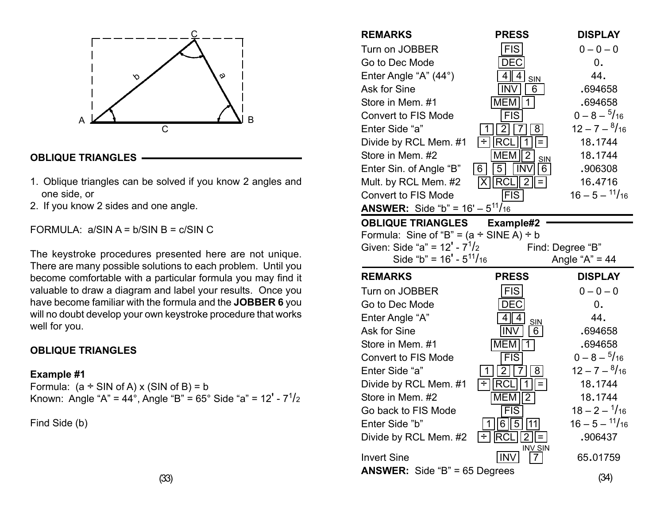![](_page_16_Figure_0.jpeg)

#### **OBLIQUE TRIANGLES**

- 1. Oblique triangles can be solved if you know 2 angles and one side, or
- 2. If you know 2 sides and one angle.

FORMULA:  $a/SIN A = b/SIN B = c/SIN C$ 

The keystroke procedures presented here are not unique. There are many possible solutions to each problem. Until you become comfortable with a particular formula you may find it valuable to draw a diagram and label your results. Once you have become familiar with the formula and the **JOBBER 6** you will no doubt develop your own keystroke procedure that works well for you.

#### **OBLIQUE TRIANGLES**

#### **Example #1**

Formula: (a ÷ SIN of A) x (SIN of B) = b Known: Angle "A" = 44°, Angle "B" = 65° Side "a" = 12' - 7 $^{1}\!/_{2}$ 

Find Side (b)

| <b>REMARKS</b><br>Turn on JOBBER<br>Go to Dec Mode<br>Enter Angle "A" (44°)<br>Ask for Sine<br>Store in Mem. #1<br><b>Convert to FIS Mode</b><br>Enter Side "a"<br>Divide by RCL Mem. #1<br>Store in Mem. #2<br>Enter Sin. of Angle "B" | <b>PRESS</b><br><b>FIS</b><br>DEC<br>4<br>4<br><b>SIN</b><br><b>INV</b><br>6<br>MEM<br>$\overline{1}$<br><b>FIS</b><br>8<br>$\div$<br><b>IRCL</b><br>$=$<br>$\overline{2}$<br><b>MEM</b><br>SIN<br>$6 \mid$<br>5<br>6<br><b>INV</b> | <b>DISPLAY</b><br>$0 - 0 - 0$<br>0.<br>44.<br>.694658<br>.694658<br>$0 - 8 - \frac{5}{16}$<br>$12 - 7 - \frac{8}{16}$<br>18.1744<br>18.1744<br>.906308 |
|-----------------------------------------------------------------------------------------------------------------------------------------------------------------------------------------------------------------------------------------|-------------------------------------------------------------------------------------------------------------------------------------------------------------------------------------------------------------------------------------|--------------------------------------------------------------------------------------------------------------------------------------------------------|
| Mult. by RCL Mem. #2<br><b>Convert to FIS Mode</b><br><b>ANSWER:</b> Side "b" = $16' - 5^{11}/16$                                                                                                                                       | <b>FRCL</b><br>$\overline{2}$<br> X <br><b>FIS</b>                                                                                                                                                                                  | 16.4716<br>$16 - 5 - \frac{11}{16}$                                                                                                                    |
| <b>OBLIQUE TRIANGLES</b>                                                                                                                                                                                                                | Example#2                                                                                                                                                                                                                           |                                                                                                                                                        |
| Formula: Sine of "B" = $(a \div$ SINE A) $\div$ b                                                                                                                                                                                       |                                                                                                                                                                                                                                     |                                                                                                                                                        |
| Given: Side "a" = $12' - 71/2$                                                                                                                                                                                                          |                                                                                                                                                                                                                                     | Find: Degree "B"                                                                                                                                       |
| Side "b" = $16' - 511/16$                                                                                                                                                                                                               |                                                                                                                                                                                                                                     | Angle " $A$ " = 44                                                                                                                                     |
|                                                                                                                                                                                                                                         |                                                                                                                                                                                                                                     |                                                                                                                                                        |
| <b>REMARKS</b>                                                                                                                                                                                                                          | <b>PRESS</b>                                                                                                                                                                                                                        | <b>DISPLAY</b>                                                                                                                                         |
| Turn on JOBBER                                                                                                                                                                                                                          | <b>FIS</b>                                                                                                                                                                                                                          | $0 - 0 - 0$                                                                                                                                            |
| Go to Dec Mode                                                                                                                                                                                                                          | <b>DEC</b>                                                                                                                                                                                                                          | 0.                                                                                                                                                     |
| Enter Angle "A"                                                                                                                                                                                                                         | 4<br>4                                                                                                                                                                                                                              | 44.                                                                                                                                                    |
| Ask for Sine                                                                                                                                                                                                                            | <b>SIN</b><br><b>INV</b><br>6                                                                                                                                                                                                       | .694658                                                                                                                                                |
| Store in Mem. #1                                                                                                                                                                                                                        | MEM<br>1                                                                                                                                                                                                                            | .694658                                                                                                                                                |
| <b>Convert to FIS Mode</b>                                                                                                                                                                                                              | $\overline{\text{FIS}}$                                                                                                                                                                                                             | $0 - 8 - \frac{5}{16}$                                                                                                                                 |
| Enter Side "a"                                                                                                                                                                                                                          | $\overline{2}$<br>8 <sup>1</sup><br>7                                                                                                                                                                                               | $12 - 7 - \frac{8}{16}$                                                                                                                                |
| Divide by RCL Mem. #1                                                                                                                                                                                                                   | RC<br>$\equiv$                                                                                                                                                                                                                      | 18.1744                                                                                                                                                |
| Store in Mem. #2                                                                                                                                                                                                                        | $\overline{2}$<br><b>MEM</b>                                                                                                                                                                                                        | 18.1744                                                                                                                                                |
| Go back to FIS Mode                                                                                                                                                                                                                     | FIS                                                                                                                                                                                                                                 | $18 - 2 - \frac{1}{16}$                                                                                                                                |
| Enter Side "b"                                                                                                                                                                                                                          | 5<br>11<br>6                                                                                                                                                                                                                        | $16 - 5 - \frac{11}{16}$                                                                                                                               |
| Divide by RCL Mem. #2                                                                                                                                                                                                                   | ÷l                                                                                                                                                                                                                                  | .906437                                                                                                                                                |
| <b>Invert Sine</b><br><b>ANSWER:</b> Side "B" = $65$ Degrees                                                                                                                                                                            | INV SIN<br>IN۱<br>7                                                                                                                                                                                                                 | 65.01759                                                                                                                                               |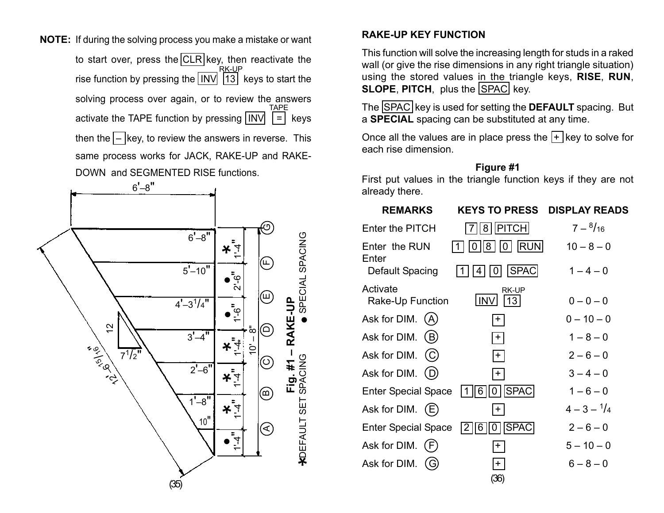**NOTE:** If during the solving process you make a mistake or want to start over, press the CLR key, then reactivate the rise function by pressing the [INV] [13] keys to start the solving process over again, or to review the answers activate the TAPE function by pressing  $\boxed{INV}$   $\boxed{=}$  keys then the  $\boxed{-}$  key, to review the answers in reverse. This same process works for JACK, RAKE-UP and RAKE-DOWN and SEGMENTED RISE functions. TAPE RK-UP

![](_page_17_Figure_1.jpeg)

#### **RAKE-UP KEY FUNCTION**

This function will solve the increasing length for studs in a raked wall (or give the rise dimensions in any right triangle situation) using the stored values in the triangle keys, **RISE**, **RUN**, **SLOPE, PITCH, plus the SPAC key.** 

The SPAC key is used for setting the **DEFAULT** spacing. But <sup>a</sup>**SPECIAL** spacing can be substituted at any time.

Once all the values are in place press the  $\mathsf{F}$  key to solve for each rise dimension.

#### **Figure #1**

First put values in the triangle function keys if they are not already there.

| <b>REMARKS</b>               | <b>KEYS TO PRESS</b>                     | <b>DISPLAY READS</b>  |
|------------------------------|------------------------------------------|-----------------------|
| Enter the PITCH              | PITCH <br>8                              | $7-{8/16}$            |
| Enter the RUN<br>Enter       | <b>RUN</b><br> 8<br>$\overline{0}$<br>0  | $10 - 8 - 0$          |
| Default Spacing              | <b>SPAC</b><br>4<br>ΟI                   | $1 - 4 - 0$           |
| Activate<br>Rake-Up Function | <b>RK-UP</b><br>13<br><b>INV</b>         | $0 - 0 - 0$           |
| Ask for DIM. (A)             | $+$                                      | $0 - 10 - 0$          |
| Ask for DIM.<br>(B)          | $+$                                      | $1 - 8 - 0$           |
| Ask for DIM.                 | $+$                                      | $2 - 6 - 0$           |
| Ask for DIM.<br>(D)          | $+$                                      | $3 - 4 - 0$           |
| <b>Enter Special Space</b>   | <b>SPAC</b><br>6<br>0                    | $1 - 6 - 0$           |
| Ask for DIM.<br>(E)          | $\mathbf +$                              | $4 - 3 - \frac{1}{4}$ |
| <b>Enter Special Space</b>   | <b>SPAC</b><br> 6<br>2 <sub>1</sub><br>0 | $2 - 6 - 0$           |
| Ask for DIM.                 | $+$                                      | $5 - 10 - 0$          |
| Ask for DIM.                 | $\pm$                                    | $6 - 8 - 0$           |
|                              | (36)                                     |                       |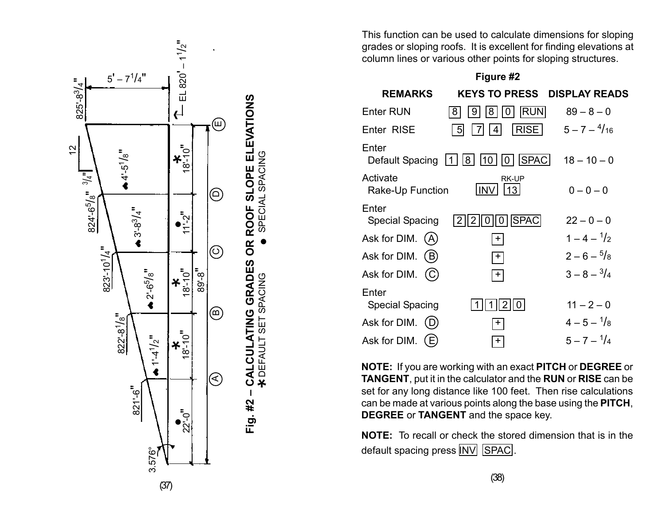![](_page_18_Figure_0.jpeg)

This function can be used to calculate dimensions for sloping grades or sloping roofs. It is excellent for finding elevations at column lines or various other points for sloping structures.

**Figure #2**

| <b>REMARKS</b>                  | <b>KEYS TO PRESS</b>                            | <b>DISPLAY READS</b>   |
|---------------------------------|-------------------------------------------------|------------------------|
| <b>Enter RUN</b>                | <b>RUN</b><br>8<br>8<br>9<br>$\cup$             | $89 - 8 - 0$           |
| Enter RISE                      | <b>RISE</b><br>5<br>4                           | $5 - 7 - \frac{4}{16}$ |
| Enter<br>Default Spacing        | SPAC <br> 8 <br> 10 <br>10<br> 1                | $18 - 10 - 0$          |
| Activate<br>Rake-Up Function    | <b>RK-UP</b><br><b>INV</b><br>13                | $0 - 0 - 0$            |
| Enter<br>Special Spacing        | <b>SPAC</b><br>2<br>2<br>O<br>$\mathbf{\Omega}$ | $22 - 0 - 0$           |
| Ask for DIM.<br>(A              | $+$                                             | $1 - 4 - \frac{1}{2}$  |
| Ask for DIM.<br>(B)             | $+$                                             | $2-6-\frac{5}{8}$      |
| Ask for DIM.<br>(C)             | $+$                                             | $3 - 8 - \frac{3}{4}$  |
| Enter<br><b>Special Spacing</b> | 2                                               | $11 - 2 - 0$           |
| Ask for DIM.                    | +                                               | $4 - 5 - \frac{1}{8}$  |
| Ask for DIM.<br>E)              | $+$                                             | $5 - 7 - \frac{1}{4}$  |

**NOTE:** If you are working with an exact **PITCH** or **DEGREE** or **TANGENT**, put it in the calculator and the **RUN** or **RISE** can be set for any long distance like 100 feet. Then rise calculations can be made at various points along the base using the **PITCH**, **DEGREE** or **TANGENT** and the space key.

**NOTE:** To recall or check the stored dimension that is in the default spacing press INV SPAC.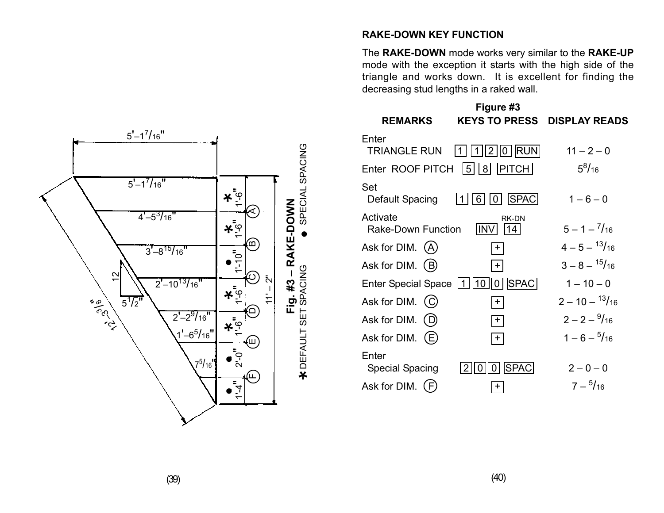![](_page_19_Figure_0.jpeg)

## **RAKE-DOWN KEY FUNCTION**

The **RAKE-DOWN** mode works very similar to the **RAKE-UP** mode with the exception it starts with the high side of the triangle and works down. It is excellent for finding the decreasing stud lengths in a raked wall.

|                                       | Figure #3                            |                          |
|---------------------------------------|--------------------------------------|--------------------------|
| <b>REMARKS</b>                        | <b>KEYS TO PRESS</b>                 | <b>DISPLAY READS</b>     |
| Enter<br><b>TRIANGLE RUN</b>          | <b>RUN</b><br>$\overline{2}$<br> 0   | $11 - 2 - 0$             |
| Enter ROOF PITCH                      | <b>PITCH</b><br>8 <sup>1</sup><br> 5 | $5^8/16$                 |
| Set<br>Default Spacing                | SPAC<br>6                            | $1 - 6 - 0$              |
| Activate<br><b>Rake-Down Function</b> | <b>RK-DN</b><br><b>INV</b><br>14     | $5 - 1 - \frac{7}{16}$   |
| Ask for DIM. (A)                      | $+$                                  | $4 - 5 - \frac{13}{16}$  |
| Ask for DIM.<br>(B)                   | $+$                                  | $3 - 8 - \frac{15}{16}$  |
| <b>Enter Special Space</b>            | <b>SPAC</b><br>10 <sup>1</sup><br>0  | $1 - 10 - 0$             |
| Ask for DIM. (C)                      | $+$                                  | $2 - 10 - \frac{13}{16}$ |
| Ask for DIM.                          | $+$                                  | $2 - 2 - \frac{9}{16}$   |
| Ask for DIM.<br>(E)                   | $\pm$                                | $1 - 6 - \frac{5}{16}$   |
| Enter<br><b>Special Spacing</b>       | <b>SPAC</b>                          | $2 - 0 - 0$              |
| Ask for DIM.<br>F.                    | +                                    | $7 - \frac{5}{16}$       |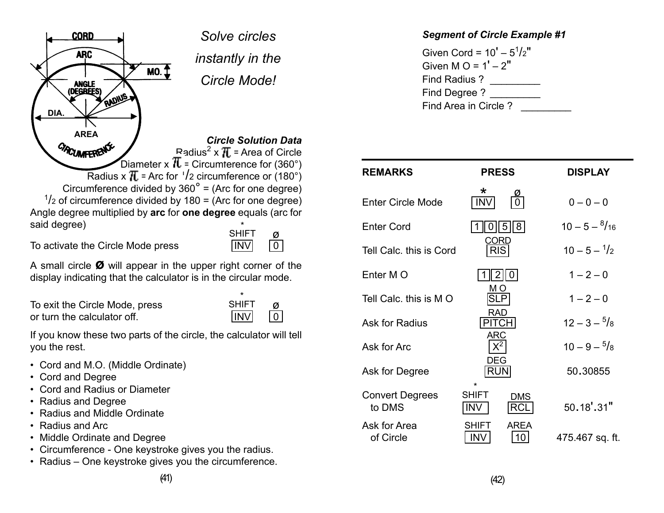![](_page_20_Picture_0.jpeg)

A small circle **ø** will appear in the upper right corner of the display indicating that the calculator is in the circular mode.

To exit the Circle Mode, press or turn the calculator off.  $\Box$ 

| SHIF. |  |
|-------|--|
| INV   |  |

\*

If you know these two parts of the circle, the calculator will tell you the rest.

- Cord and M.O. (Middle Ordinate)
- Cord and Degree
- Cord and Radius or Diameter
- Radius and Degree
- Radius and Middle Ordinate
- Radius and Arc
- Middle Ordinate and Degree
- Circumference One keystroke gives you the radius.
- Radius One keystroke gives you the circumference.

## *Segment of Circle Example #1*

Given Cord =  $10' - 5<sup>1</sup>/2"$ Given M  $Q = 1' - 2''$ Find Radius ? \_\_\_\_\_\_\_\_\_ Find Degree ? Find Area in Circle ?

| <b>REMARKS</b>                   | <b>PRESS</b>                    |                          | <b>DISPLAY</b>          |  |
|----------------------------------|---------------------------------|--------------------------|-------------------------|--|
| <b>Enter Circle Mode</b>         | $\star$<br><b>INV</b>           |                          | $0 - 0 - 0$             |  |
| <b>Enter Cord</b>                |                                 | 8 <br>5                  | $10 - 5 - \frac{8}{16}$ |  |
| Tell Calc. this is Cord          | CORD<br><b>RIS</b>              |                          | $10 - 5 - \frac{1}{2}$  |  |
| Enter M O                        | $\mathsf{2}$                    | l O                      | $1 - 2 - 0$             |  |
| Tell Calc. this is M O           | MО<br>SLP                       |                          | $1 - 2 - 0$             |  |
| Ask for Radius                   | <b>RAD</b><br><b>PITCH</b>      |                          | $12 - 3 - \frac{5}{8}$  |  |
| Ask for Arc                      | <b>ARC</b><br>$X^2$             |                          | $10 - 9 - \frac{5}{8}$  |  |
| Ask for Degree                   | DEG<br><b>RUN</b>               |                          | 50.30855                |  |
| <b>Convert Degrees</b><br>to DMS | *<br><b>SHIFT</b><br><b>INV</b> | <b>DMS</b><br><b>RCL</b> | $50.18'$ .31"           |  |
| Ask for Area<br>of Circle        | SHIFT<br><b>INV</b>             | <b>AREA</b><br>10        | 475.467 sq. ft.         |  |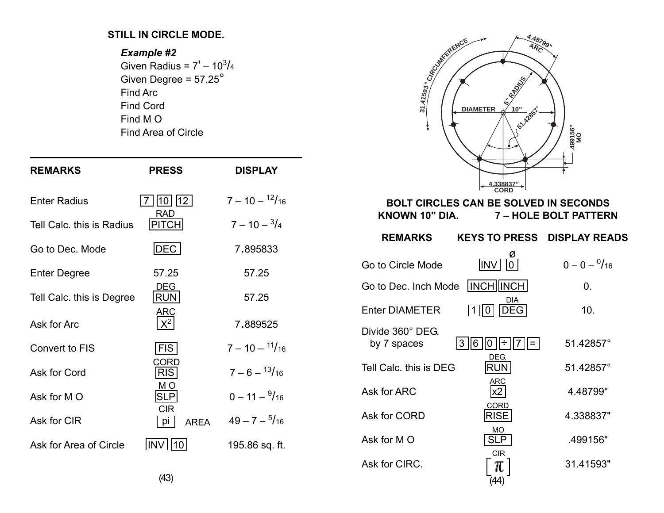#### **STILL IN CIRCLE MODE.**

#### *Example #2*

Given Radius = 7 $^{\prime}$  – 10 $^3\!/$ 4 Given Degree = 57.25° Find Arc Find Cord Find M O Find Area of Circle

| <b>REMARKS</b>            | <b>PRESS</b>                    | <b>DISPLAY</b>           |
|---------------------------|---------------------------------|--------------------------|
| <b>Enter Radius</b>       | 10   12                         | $7 - 10 - \frac{12}{16}$ |
| Tell Calc. this is Radius | RAD<br>PITCH                    | $7 - 10 - \frac{3}{4}$   |
| Go to Dec. Mode           | DEC                             | 7.895833                 |
| <b>Enter Degree</b>       | 57.25                           | 57.25                    |
| Tell Calc. this is Degree | <b>DEG</b><br><b>RUN</b>        | 57.25                    |
| Ask for Arc               | <b>ARC</b><br>$\mathsf{X}^2$    | 7.889525                 |
| Convert to FIS            | <b>FIS</b>                      | $7 - 10 - \frac{11}{16}$ |
| Ask for Cord              | CORD<br><b>RIS</b>              | $7 - 6 - \frac{13}{16}$  |
| Ask for MO                | MО<br><b>SLP</b>                | $0 - 11 - \frac{9}{16}$  |
| Ask for CIR               | <b>CIR</b><br>рi<br><b>AREA</b> | $49 - 7 - \frac{5}{16}$  |
| Ask for Area of Circle    | INV<br>10                       | 195.86 sq. ft.           |

![](_page_21_Figure_4.jpeg)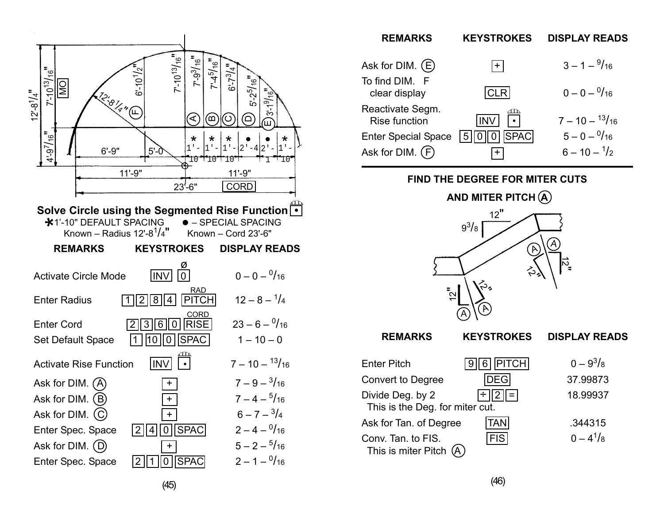![](_page_22_Figure_0.jpeg)

| <b>REMARKS</b>                           | <b>KEYSTROKES</b> | <b>DISPLAY READS</b>     |
|------------------------------------------|-------------------|--------------------------|
| Ask for DIM. $(E)$                       | $+$               | $3 - 1 - \frac{9}{16}$   |
| To find DIM. F<br>clear display          | CLRI              | $0 - 0 - \frac{0}{16}$   |
| Reactivate Segm.<br><b>Rise function</b> |                   | $7 - 10 - \frac{13}{16}$ |
| <b>Enter Special Space</b>               | <b>SPAC</b><br>5  | $5 - 0 - \frac{0}{16}$   |
| Ask for DIM. (F)                         |                   | $6 - 10 - \frac{1}{2}$   |

**FIND THE DEGREE FOR MITER CUTS**

![](_page_22_Figure_3.jpeg)

| 니게 그녀는 아이가                                          | J     U           U | $U = 0.10$    |
|-----------------------------------------------------|---------------------|---------------|
| Convert to Degree                                   | <b>DEGI</b>         | 37.99873      |
| Divide Deg. by 2<br>This is the Deg. for miter cut. | ÷  2  =             | 18.99937      |
| Ask for Tan. of Degree                              | <b>TAN</b>          | .344315       |
| Conv. Tan. to FIS.<br>This is miter Pitch $(A)$     | <b>FISI</b>         | $0 - 4^{1}/8$ |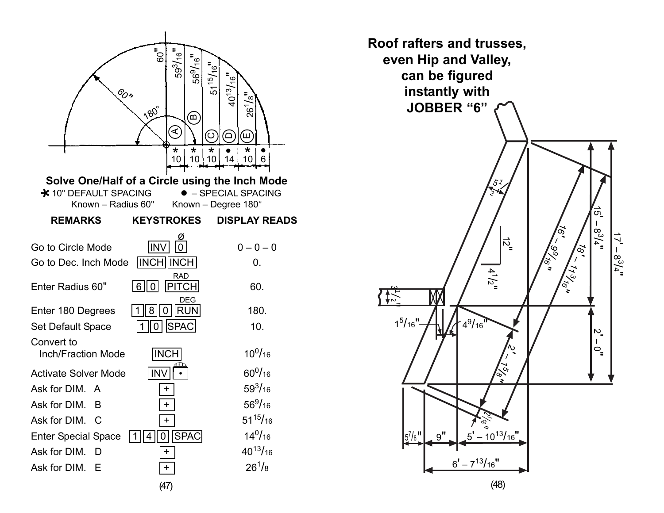![](_page_23_Figure_0.jpeg)

![](_page_23_Figure_1.jpeg)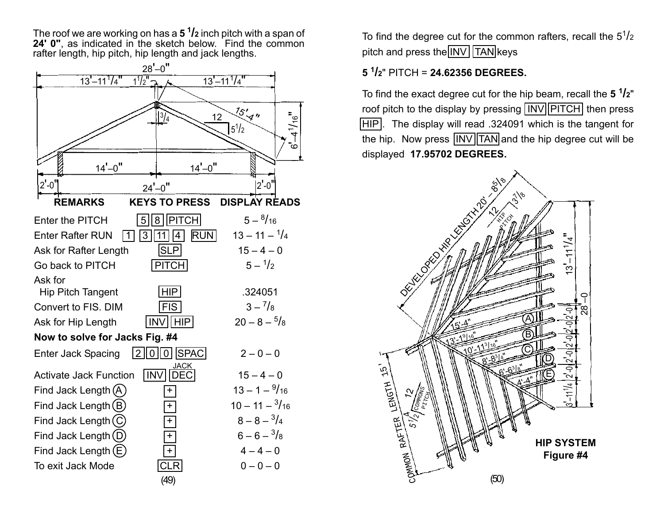The roof we are working on has a **5 1 /2** inch pitch with a span of **24' 0"**, as indicated in the sketch below. Find the common rafter length, hip pitch, hip length and jack lengths.

![](_page_24_Figure_1.jpeg)

To find the degree cut for the common rafters, recall the  $5^{1}/2$ pitch and press the  $\boxed{INV}$  TAN keys

# **5 <sup>1</sup> /2**" PITCH = **24.62356 DEGREES.**

To find the exact degree cut for the hip beam, recall the **5 1/2**" roof pitch to the display by pressing  $\sqrt{\text{INV}}$  PITCH then press HIP. The display will read .324091 which is the tangent for the hip. Now press  $\sqrt{INV}$  TAN and the hip degree cut will be displayed **17.95702 DEGREES.**

![](_page_24_Figure_5.jpeg)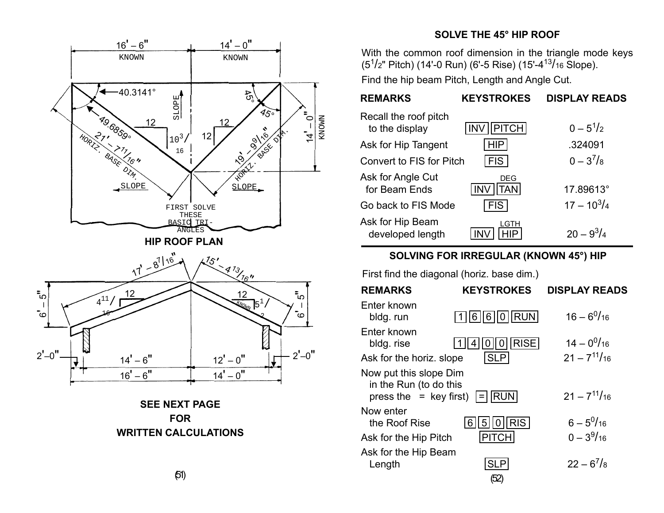![](_page_25_Figure_0.jpeg)

## **SOLVE THE 45° HIP ROOF**

With the common roof dimension in the triangle mode keys (5<sup>1</sup>/2" Pitch) (14'-0 Run) (6'-5 Rise) (15'-4<sup>13</sup>/16 Slope).

Find the hip beam Pitch, Length and Angle Cut.

| <b>REMARKS</b>                          | <b>KEYSTROKES</b>                      | <b>DISPLAY READS</b> |
|-----------------------------------------|----------------------------------------|----------------------|
| Recall the roof pitch<br>to the display | PITCH<br><b>INV</b>                    | $0 - 5^{1}/2$        |
| Ask for Hip Tangent                     | HIP                                    | .324091              |
| Convert to FIS for Pitch                | <b>FIS</b>                             | $0 - 3^{7}/8$        |
| Ask for Angle Cut<br>for Beam Ends      | <b>DEG</b><br><b>INV</b><br><b>TAN</b> | 17.89613°            |
| Go back to FIS Mode                     | <b>FIS</b>                             | $17 - 10^{3}/4$      |
| Ask for Hip Beam<br>developed length    | LGTH                                   | $20 - 9^3/4$         |

## **SOLVING FOR IRREGULAR (KNOWN 45°) HIP**

First find the diagonal (horiz. base dim.)

| <b>REMARKS</b>                                                               | <b>KEYSTROKES</b>                    | <b>DISPLAY READS</b>                |
|------------------------------------------------------------------------------|--------------------------------------|-------------------------------------|
| Enter known<br>bldg. run                                                     | 1  6  6  0  RUN                      | $16 - 6^{0}/_{16}$                  |
| Enter known<br>bldg. rise                                                    | <b>RISE</b>                          | $14 - 0^{0}/_{16}$                  |
| Ask for the horiz. slope                                                     | <b>SLP</b>                           | $21 - 7^{11}/16$                    |
| Now put this slope Dim<br>in the Run (to do this<br>press the $=$ key first) | <b>RUN</b>                           | $21 - 7^{11}/16$                    |
| Now enter<br>the Roof Rise<br>Ask for the Hip Pitch                          | <b>RIS</b><br>6<br>5<br><b>PITCH</b> | $6 - 5^{0}/_{16}$<br>$0 - 3^{9}/16$ |
| Ask for the Hip Beam<br>Length                                               | שט                                   | $22 - 6^7$ /8                       |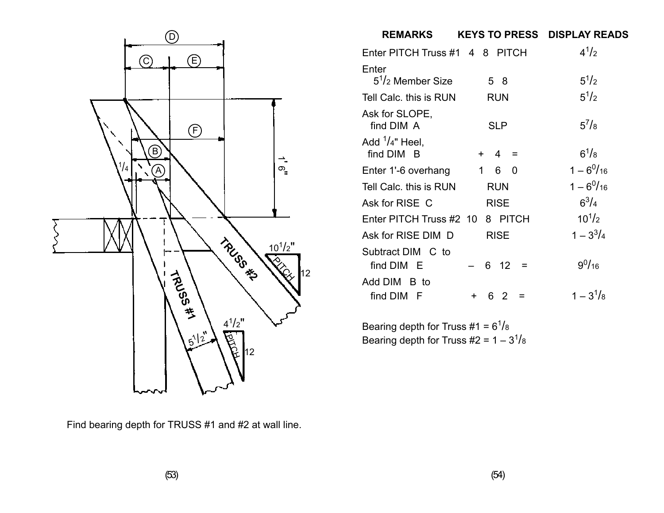![](_page_26_Figure_0.jpeg)

Find bearing depth for TRUSS #1 and #2 at wall line.

| <b>REMARKS</b>                  | <b>KEYS TO PRESS</b>  | <b>DISPLAY READS</b> |
|---------------------------------|-----------------------|----------------------|
| Enter PITCH Truss #1 4 8 PITCH  |                       | $4^{1/2}$            |
| Enter                           |                       |                      |
| $51/2$ Member Size              | 58                    | $5^{1}/2$            |
| Tell Calc, this is RUN          | RUN                   | $5^{1}/2$            |
| Ask for SLOPE,<br>find DIM A    | <b>SLP</b>            | $5^{7}/8$            |
| Add $1/4$ " Heel,<br>find DIM B | $\overline{4}$<br>$+$ | $6^{1}/8$            |
| Enter 1'-6 overhang             | 1<br>60               | $1 - 6^{0}/_{16}$    |
| Tell Calc, this is RUN          | <b>RUN</b>            | $1 - 6^{0}/_{16}$    |
| Ask for RISE C                  | <b>RISE</b>           | $6^{3}/_{4}$         |
| Enter PITCH Truss #2 10         | 8 PITCH               | $10^{1/2}$           |
| Ask for RISE DIM D              | <b>RISE</b>           | $1 - 3^3/4$          |
| Subtract DIM C to<br>find DIM E | 6<br>12<br>⋍          | $9^{0}/_{16}$        |
| Add DIM B to<br>find DIM F      | 6 2<br>÷.             | $1 - 3^{1}/8$        |

Bearing depth for Truss  $\#1 = 6^1/s$ Bearing depth for Truss #2 =  $1 - 3^{1}/8$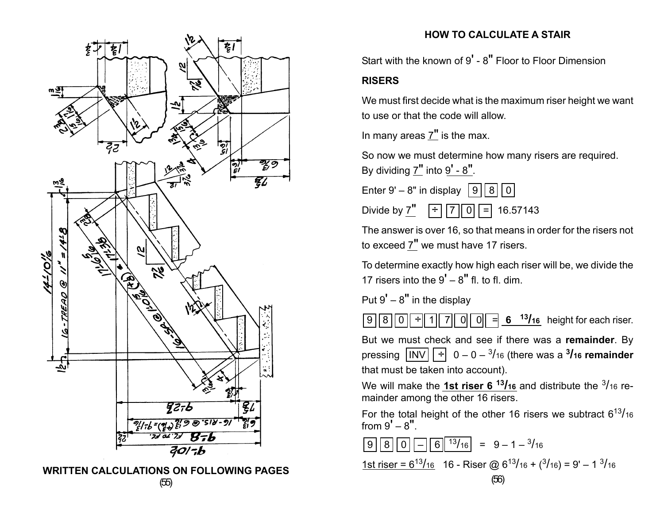![](_page_27_Figure_0.jpeg)

(55) **WRITTEN CALCULATIONS ON FOLLOWING PAGES**

## **HOW TO CALCULATE A STAIR**

Start with the known of 9' - 8" Floor to Floor Dimension

#### **RISERS**

We must first decide what is the maximum riser height we want to use or that the code will allow.

In many areas 7" is the max.

So now we must determine how many risers are required. By dividing  $7"$  into  $9' - 8"$ .

Enter 9' – 8" in display  $|9||8||0|$ 

Divide by 7"  $\div$  7 0 = 16.57143

The answer is over 16, so that means in order for the risers not to exceed 7" we must have 17 risers.

To determine exactly how high each riser will be, we divide the 17 risers into the  $9' - 8''$  fl. to fl. dim.

Put  $9' - 8''$  in the display

 $\boxed{9}$   $\boxed{8}$   $\boxed{0}$   $\boxed{\div}$   $\boxed{1}$   $\boxed{7}$   $\boxed{0}$   $\boxed{0}$   $\boxed{=}$  6  $\boxed{13/16}$  height for each riser.

But we must check and see if there was a **remainder**. By pressing  $\boxed{INV}$   $\boxed{\div}$  0 – 0 – <sup>3</sup>/<sub>16</sub> (there was a <sup>3</sup>/<sub>16</sub> remainder that must be taken into account).

We will make the **1st riser 6<sup>13</sup>/16</mark>** and distribute the <sup>3</sup>/16</sup> remainder among the other 16 risers.

For the total height of the other 16 risers we subtract  $6^{13}/_{16}$ from  $9' - 8''$ .

$$
980 - 613/16 = 9 - 1 - \frac{3}{16}
$$

1st riser =  $6^{13}/16$  16 - Riser @  $6^{13}/16$  +  $(3/16)$  = 9' – 1  $3/16$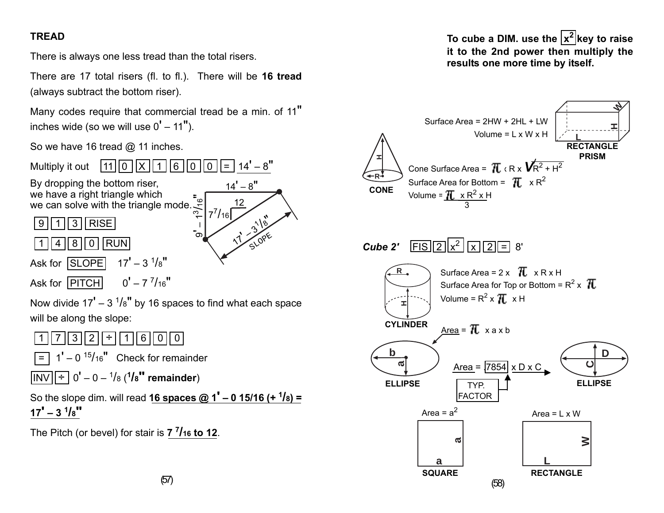# **TREAD**

There is always one less tread than the total risers.

There are 17 total risers (fl. to fl.). There will be **16 tread** (always subtract the bottom riser).

Many codes require that commercial tread be a min. of 11" inches wide (so we will use  $0' - 11'$ ).

So we have 16 tread @ 11 inches.

![](_page_28_Figure_5.jpeg)

To cube a DIM. use the  $|x^2|$ key to raise **it to the 2nd power then multiply the results one more time by itself.**

![](_page_28_Figure_7.jpeg)

(57)